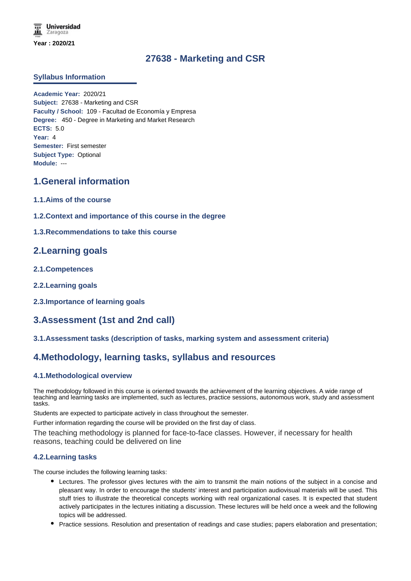# **27638 - Marketing and CSR**

#### **Syllabus Information**

**Academic Year:** 2020/21 **Subject:** 27638 - Marketing and CSR **Faculty / School:** 109 - Facultad de Economía y Empresa **Degree:** 450 - Degree in Marketing and Market Research **ECTS:** 5.0 **Year:** 4 **Semester:** First semester **Subject Type:** Optional **Module:** ---

# **1.General information**

- **1.1.Aims of the course**
- **1.2.Context and importance of this course in the degree**
- **1.3.Recommendations to take this course**

# **2.Learning goals**

- **2.1.Competences**
- **2.2.Learning goals**
- **2.3.Importance of learning goals**

# **3.Assessment (1st and 2nd call)**

**3.1.Assessment tasks (description of tasks, marking system and assessment criteria)**

# **4.Methodology, learning tasks, syllabus and resources**

#### **4.1.Methodological overview**

The methodology followed in this course is oriented towards the achievement of the learning objectives. A wide range of teaching and learning tasks are implemented, such as lectures, practice sessions, autonomous work, study and assessment tasks.

Students are expected to participate actively in class throughout the semester.

Further information regarding the course will be provided on the first day of class.

The teaching methodology is planned for face-to-face classes. However, if necessary for health reasons, teaching could be delivered on line

#### **4.2.Learning tasks**

The course includes the following learning tasks:

- Lectures. The professor gives lectures with the aim to transmit the main notions of the subject in a concise and pleasant way. In order to encourage the students' interest and participation audiovisual materials will be used. This stuff tries to illustrate the theoretical concepts working with real organizational cases. It is expected that student actively participates in the lectures initiating a discussion. These lectures will be held once a week and the following topics will be addressed.
- Practice sessions. Resolution and presentation of readings and case studies; papers elaboration and presentation;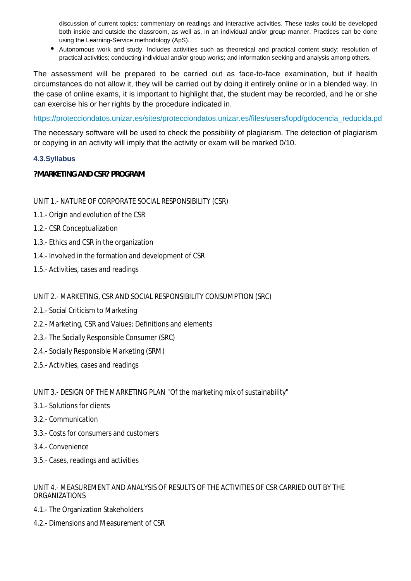discussion of current topics; commentary on readings and interactive activities. These tasks could be developed both inside and outside the classroom, as well as, in an individual and/or group manner. Practices can be done using the Learning-Service methodology (ApS).

Autonomous work and study. Includes activities such as theoretical and practical content study; resolution of practical activities; conducting individual and/or group works; and information seeking and analysis among others.

The assessment will be prepared to be carried out as face-to-face examination, but if health circumstances do not allow it, they will be carried out by doing it entirely online or in a blended way. In the case of online exams, it is important to highlight that, the student may be recorded, and he or she can exercise his or her rights by the procedure indicated in.

https://protecciondatos.unizar.es/sites/protecciondatos.unizar.es/files/users/lopd/gdocencia\_reducida.pd

The necessary software will be used to check the possibility of plagiarism. The detection of plagiarism or copying in an activity will imply that the activity or exam will be marked 0/10.

## **4.3.Syllabus**

**?MARKETING AND CSR? PROGRAM**

## UNIT 1.- NATURE OF CORPORATE SOCIAL RESPONSIBILITY (CSR)

- 1.1.- Origin and evolution of the CSR
- 1.2.- CSR Conceptualization
- 1.3.- Ethics and CSR in the organization
- 1.4.- Involved in the formation and development of CSR
- 1.5.- Activities, cases and readings

## UNIT 2.- MARKETING, CSR AND SOCIAL RESPONSIBILITY CONSUMPTION (SRC)

- 2.1.- Social Criticism to Marketing
- 2.2.- Marketing, CSR and Values: Definitions and elements
- 2.3.- The Socially Responsible Consumer (SRC)
- 2.4.- Socially Responsible Marketing (SRM)
- 2.5.- Activities, cases and readings

## UNIT 3.- DESIGN OF THE MARKETING PLAN "Of the marketing mix of sustainability"

- 3.1.- Solutions for clients
- 3.2.- Communication
- 3.3.- Costs for consumers and customers
- 3.4.- Convenience
- 3.5.- Cases, readings and activities

## UNIT 4.- MEASUREMENT AND ANALYSIS OF RESULTS OF THE ACTIVITIES OF CSR CARRIED OUT BY THE ORGANIZATIONS

- 4.1.- The Organization Stakeholders
- 4.2.- Dimensions and Measurement of CSR